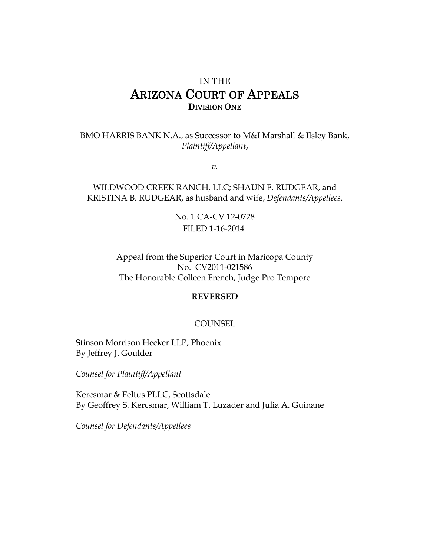# IN THE ARIZONA COURT OF APPEALS DIVISION ONE

BMO HARRIS BANK N.A., as Successor to M&I Marshall & Ilsley Bank, *Plaintiff/Appellant*,

*v.*

WILDWOOD CREEK RANCH, LLC; SHAUN F. RUDGEAR, and KRISTINA B. RUDGEAR, as husband and wife, *Defendants/Appellees*.

> No. 1 CA-CV 12-0728 FILED 1-16-2014

Appeal from the Superior Court in Maricopa County No. CV2011-021586 The Honorable Colleen French, Judge Pro Tempore

#### **REVERSED**

#### **COUNSEL**

Stinson Morrison Hecker LLP, Phoenix By Jeffrey J. Goulder

*Counsel for Plaintiff/Appellant*

Kercsmar & Feltus PLLC, Scottsdale By Geoffrey S. Kercsmar, William T. Luzader and Julia A. Guinane

*Counsel for Defendants/Appellees*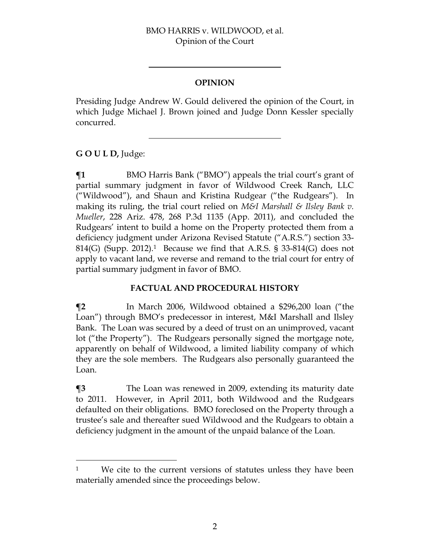### **OPINION**

Presiding Judge Andrew W. Gould delivered the opinion of the Court, in which Judge Michael J. Brown joined and Judge Donn Kessler specially concurred.

# **G O U L D,** Judge:

 $\overline{a}$ 

 $\P$ **1** BMO Harris Bank ("BMO") appeals the trial court's grant of partial summary judgment in favor of Wildwood Creek Ranch, LLC ("Wildwood"), and Shaun and Kristina Rudgear ("the Rudgears"). In making its ruling, the trial court relied on *M&I Marshall & Ilsley Bank v. Mueller*, 228 Ariz. 478, 268 P.3d 1135 (App. 2011), and concluded the Rudgears' intent to build a home on the Property protected them from a deficiency judgment under Arizona Revised Statute ("A.R.S.") section 33- 814(G) (Supp. 2012).1 Because we find that A.R.S. § 33-814(G) does not apply to vacant land, we reverse and remand to the trial court for entry of partial summary judgment in favor of BMO.

# **FACTUAL AND PROCEDURAL HISTORY**

**¶2** In March 2006, Wildwood obtained a \$296,200 loan ("the Loan") through BMO's predecessor in interest, M&I Marshall and Ilsley Bank. The Loan was secured by a deed of trust on an unimproved, vacant lot ("the Property"). The Rudgears personally signed the mortgage note, apparently on behalf of Wildwood, a limited liability company of which they are the sole members. The Rudgears also personally guaranteed the Loan.

**¶3** The Loan was renewed in 2009, extending its maturity date to 2011. However, in April 2011, both Wildwood and the Rudgears defaulted on their obligations. BMO foreclosed on the Property through a trustee's sale and thereafter sued Wildwood and the Rudgears to obtain a deficiency judgment in the amount of the unpaid balance of the Loan.

<sup>&</sup>lt;sup>1</sup> We cite to the current versions of statutes unless they have been materially amended since the proceedings below.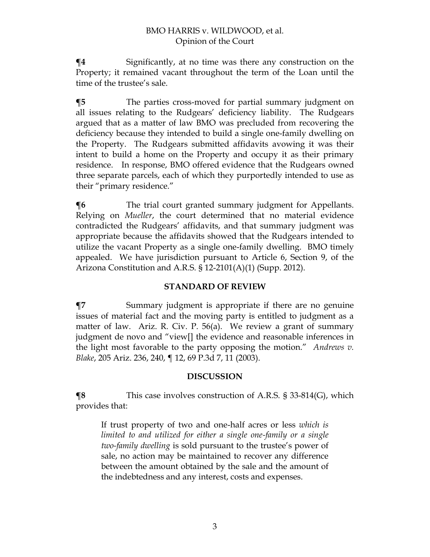**¶4** Significantly, at no time was there any construction on the Property; it remained vacant throughout the term of the Loan until the time of the trustee's sale.

**¶5** The parties cross-moved for partial summary judgment on all issues relating to the Rudgears' deficiency liability. The Rudgears argued that as a matter of law BMO was precluded from recovering the deficiency because they intended to build a single one-family dwelling on the Property. The Rudgears submitted affidavits avowing it was their intent to build a home on the Property and occupy it as their primary residence.In response, BMO offered evidence that the Rudgears owned three separate parcels, each of which they purportedly intended to use as their "primary residence."

**[6** The trial court granted summary judgment for Appellants. Relying on *Mueller*, the court determined that no material evidence contradicted the Rudgears' affidavits, and that summary judgment was appropriate because the affidavits showed that the Rudgears intended to utilize the vacant Property as a single one-family dwelling. BMO timely appealed. We have jurisdiction pursuant to Article 6, Section 9, of the Arizona Constitution and A.R.S. § 12-2101(A)(1) (Supp. 2012).

# **STANDARD OF REVIEW**

**¶7** Summary judgment is appropriate if there are no genuine issues of material fact and the moving party is entitled to judgment as a matter of law. Ariz. R. Civ. P. 56(a). We review a grant of summary judgment de novo and "view[] the evidence and reasonable inferences in the light most favorable to the party opposing the motion." *Andrews v. Blake*, 205 Ariz. 236, 240, ¶ 12, 69 P.3d 7, 11 (2003).

# **DISCUSSION**

**¶8** This case involves construction of A.R.S. § 33-814(G), which provides that:

If trust property of two and one-half acres or less *which is limited to and utilized for either a single one-family or a single two-family dwelling* is sold pursuant to the trustee's power of sale, no action may be maintained to recover any difference between the amount obtained by the sale and the amount of the indebtedness and any interest, costs and expenses.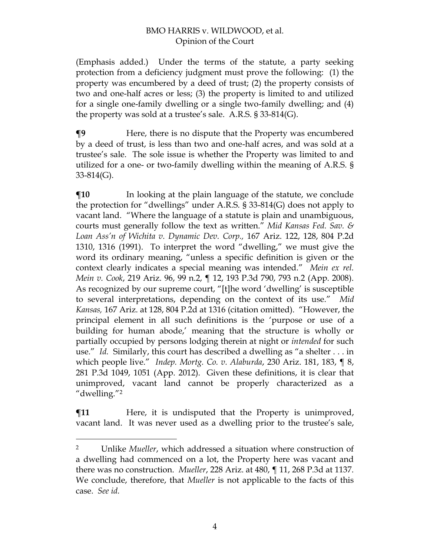(Emphasis added.) Under the terms of the statute, a party seeking protection from a deficiency judgment must prove the following: (1) the property was encumbered by a deed of trust; (2) the property consists of two and one-half acres or less; (3) the property is limited to and utilized for a single one-family dwelling or a single two-family dwelling; and (4) the property was sold at a trustee's sale. A.R.S. § 33-814(G).

**¶9** Here, there is no dispute that the Property was encumbered by a deed of trust, is less than two and one-half acres, and was sold at a trustee's sale. The sole issue is whether the Property was limited to and utilized for a one- or two-family dwelling within the meaning of A.R.S. § 33-814(G).

**[10** In looking at the plain language of the statute, we conclude the protection for "dwellings" under A.R.S. § 33-814(G) does not apply to vacant land. "Where the language of a statute is plain and unambiguous, courts must generally follow the text as written." *Mid Kansas Fed. Sav. & Loan Ass'n of Wichita v. Dynamic Dev. Corp.,* 167 Ariz. 122, 128, 804 P.2d 1310, 1316 (1991). To interpret the word "dwelling," we must give the word its ordinary meaning, "unless a specific definition is given or the context clearly indicates a special meaning was intended." *Mein ex rel. Mein v. Cook*, 219 Ariz. 96, 99 n.2, ¶ 12, 193 P.3d 790, 793 n.2 (App. 2008). As recognized by our supreme court, "[t]he word 'dwelling' is susceptible to several interpretations, depending on the context of its use." *Mid Kansas,* 167 Ariz. at 128, 804 P.2d at 1316 (citation omitted). "However, the principal element in all such definitions is the 'purpose or use of a building for human abode,' meaning that the structure is wholly or partially occupied by persons lodging therein at night or *intended* for such use." *Id.* Similarly, this court has described a dwelling as "a shelter . . . in which people live." *Indep. Mortg. Co. v. Alaburda*, 230 Ariz. 181, 183, ¶ 8, 281 P.3d 1049, 1051 (App. 2012). Given these definitions, it is clear that unimproved, vacant land cannot be properly characterized as a "dwelling."<sup>2</sup>

**There** There, it is undisputed that the Property is unimproved, vacant land. It was never used as a dwelling prior to the trustee's sale,

 $\overline{a}$ 

<sup>2</sup> Unlike *Mueller*, which addressed a situation where construction of a dwelling had commenced on a lot, the Property here was vacant and there was no construction. *Mueller*, 228 Ariz. at 480, ¶ 11, 268 P.3d at 1137. We conclude, therefore, that *Mueller* is not applicable to the facts of this case. *See id.*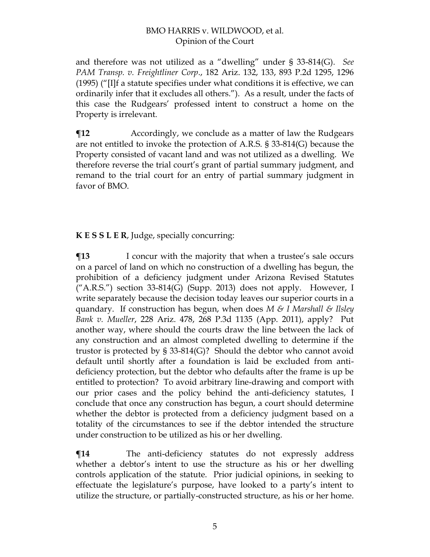and therefore was not utilized as a "dwelling" under § 33-814(G). *See PAM Transp. v. Freightliner Corp*., 182 Ariz. 132, 133, 893 P.2d 1295, 1296 (1995) ("[I]f a statute specifies under what conditions it is effective, we can ordinarily infer that it excludes all others."). As a result, under the facts of this case the Rudgears' professed intent to construct a home on the Property is irrelevant.

 $\P$ **12** Accordingly, we conclude as a matter of law the Rudgears are not entitled to invoke the protection of A.R.S. § 33-814(G) because the Property consisted of vacant land and was not utilized as a dwelling. We therefore reverse the trial court's grant of partial summary judgment, and remand to the trial court for an entry of partial summary judgment in favor of BMO.

**K E S S L E R**, Judge, specially concurring:

**The I** concur with the majority that when a trustee's sale occurs on a parcel of land on which no construction of a dwelling has begun, the prohibition of a deficiency judgment under Arizona Revised Statutes  $('A.R.S.'')$  section 33-814(G) (Supp. 2013) does not apply. However, I write separately because the decision today leaves our superior courts in a quandary. If construction has begun, when does *M & I Marshall & Ilsley Bank v. Mueller*, 228 Ariz. 478, 268 P.3d 1135 (App. 2011), apply? Put another way, where should the courts draw the line between the lack of any construction and an almost completed dwelling to determine if the trustor is protected by § 33-814(G)? Should the debtor who cannot avoid default until shortly after a foundation is laid be excluded from antideficiency protection, but the debtor who defaults after the frame is up be entitled to protection? To avoid arbitrary line-drawing and comport with our prior cases and the policy behind the anti-deficiency statutes, I conclude that once any construction has begun, a court should determine whether the debtor is protected from a deficiency judgment based on a totality of the circumstances to see if the debtor intended the structure under construction to be utilized as his or her dwelling.

**¶14** The anti-deficiency statutes do not expressly address whether a debtor's intent to use the structure as his or her dwelling controls application of the statute. Prior judicial opinions, in seeking to effectuate the legislature's purpose, have looked to a party's intent to utilize the structure, or partially-constructed structure, as his or her home.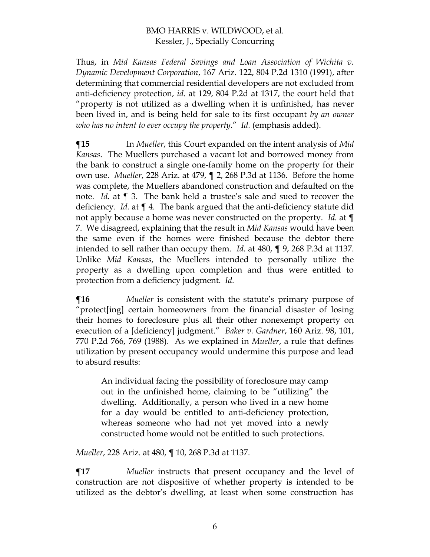Thus, in *Mid Kansas Federal Savings and Loan Association of Wichita v. Dynamic Development Corporation*, 167 Ariz. 122, 804 P.2d 1310 (1991), after determining that commercial residential developers are not excluded from anti-deficiency protection, *id.* at 129, 804 P.2d at 1317, the court held that "property is not utilized as a dwelling when it is unfinished, has never been lived in, and is being held for sale to its first occupant *by an owner who has no intent to ever occupy the property*." *Id.* (emphasis added).

**¶15** In *Mueller*, this Court expanded on the intent analysis of *Mid Kansas*. The Muellers purchased a vacant lot and borrowed money from the bank to construct a single one-family home on the property for their own use. *Mueller*, 228 Ariz. at 479, ¶ 2, 268 P.3d at 1136. Before the home was complete, the Muellers abandoned construction and defaulted on the note. *Id.* at ¶ 3. The bank held a trustee's sale and sued to recover the deficiency. *Id.* at ¶ 4. The bank argued that the anti-deficiency statute did not apply because a home was never constructed on the property. *Id.* at ¶ 7. We disagreed, explaining that the result in *Mid Kansas* would have been the same even if the homes were finished because the debtor there intended to sell rather than occupy them. *Id.* at 480, ¶ 9, 268 P.3d at 1137. Unlike *Mid Kansas*, the Muellers intended to personally utilize the property as a dwelling upon completion and thus were entitled to protection from a deficiency judgment. *Id.*

**¶16** *Mueller* is consistent with the statute's primary purpose of "protect[ing] certain homeowners from the financial disaster of losing their homes to foreclosure plus all their other nonexempt property on execution of a [deficiency] judgment." *Baker v. Gardner*, 160 Ariz. 98, 101, 770 P.2d 766, 769 (1988). As we explained in *Mueller*, a rule that defines utilization by present occupancy would undermine this purpose and lead to absurd results:

An individual facing the possibility of foreclosure may camp out in the unfinished home, claiming to be "utilizing" the dwelling. Additionally, a person who lived in a new home for a day would be entitled to anti-deficiency protection, whereas someone who had not yet moved into a newly constructed home would not be entitled to such protections.

*Mueller*, 228 Ariz. at 480, ¶ 10, 268 P.3d at 1137.

**¶17** *Mueller* instructs that present occupancy and the level of construction are not dispositive of whether property is intended to be utilized as the debtor's dwelling, at least when some construction has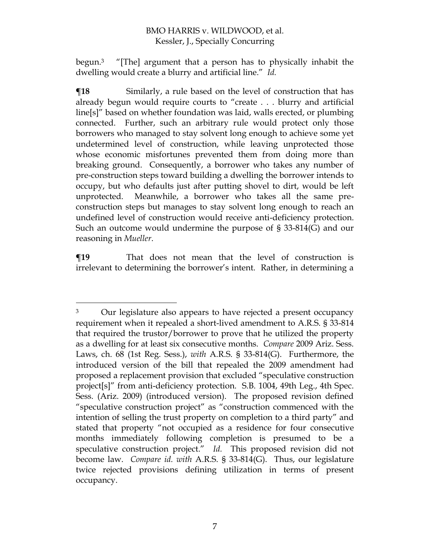begun.<sup>3</sup> "[The] argument that a person has to physically inhabit the dwelling would create a blurry and artificial line." *Id.*

**The E** Similarly, a rule based on the level of construction that has already begun would require courts to "create . . . blurry and artificial line[s]" based on whether foundation was laid, walls erected, or plumbing connected. Further, such an arbitrary rule would protect only those borrowers who managed to stay solvent long enough to achieve some yet undetermined level of construction, while leaving unprotected those whose economic misfortunes prevented them from doing more than breaking ground. Consequently, a borrower who takes any number of pre-construction steps toward building a dwelling the borrower intends to occupy, but who defaults just after putting shovel to dirt, would be left unprotected. Meanwhile, a borrower who takes all the same preconstruction steps but manages to stay solvent long enough to reach an undefined level of construction would receive anti-deficiency protection. Such an outcome would undermine the purpose of § 33-814(G) and our reasoning in *Mueller*.

**¶19** That does not mean that the level of construction is irrelevant to determining the borrower's intent. Rather, in determining a

 $\overline{a}$ 

<sup>&</sup>lt;sup>3</sup> Our legislature also appears to have rejected a present occupancy requirement when it repealed a short-lived amendment to A.R.S. § 33-814 that required the trustor/borrower to prove that he utilized the property as a dwelling for at least six consecutive months. *Compare* 2009 Ariz. Sess. Laws, ch. 68 (1st Reg. Sess.), *with* A.R.S. § 33-814(G). Furthermore, the introduced version of the bill that repealed the 2009 amendment had proposed a replacement provision that excluded "speculative construction project[s]" from anti-deficiency protection. S.B. 1004, 49th Leg., 4th Spec. Sess. (Ariz. 2009) (introduced version). The proposed revision defined "speculative construction project" as "construction commenced with the intention of selling the trust property on completion to a third party" and stated that property "not occupied as a residence for four consecutive months immediately following completion is presumed to be a speculative construction project." *Id.* This proposed revision did not become law. *Compare id. with* A.R.S. § 33-814(G). Thus, our legislature twice rejected provisions defining utilization in terms of present occupancy.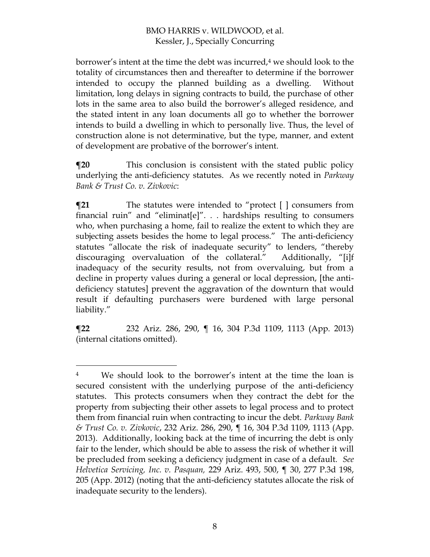borrower's intent at the time the debt was incurred,<sup>4</sup> we should look to the totality of circumstances then and thereafter to determine if the borrower intended to occupy the planned building as a dwelling. Without limitation, long delays in signing contracts to build, the purchase of other lots in the same area to also build the borrower's alleged residence, and the stated intent in any loan documents all go to whether the borrower intends to build a dwelling in which to personally live. Thus, the level of construction alone is not determinative, but the type, manner, and extent of development are probative of the borrower's intent.

**This conclusion is consistent with the stated public policy** underlying the anti-deficiency statutes. As we recently noted in *Parkway Bank & Trust Co. v. Zivkovic*:

 $\P$ **21** The statutes were intended to "protect [ ] consumers from financial ruin" and "eliminat[e]". . . hardships resulting to consumers who, when purchasing a home, fail to realize the extent to which they are subjecting assets besides the home to legal process." The anti-deficiency statutes "allocate the risk of inadequate security" to lenders, "thereby discouraging overvaluation of the collateral." Additionally, "[i]f inadequacy of the security results, not from overvaluing, but from a decline in property values during a general or local depression, [the antideficiency statutes] prevent the aggravation of the downturn that would result if defaulting purchasers were burdened with large personal liability."

**¶22** 232 Ariz. 286, 290, ¶ 16, 304 P.3d 1109, 1113 (App. 2013) (internal citations omitted).

 $\overline{a}$ 

<sup>4</sup> We should look to the borrower's intent at the time the loan is secured consistent with the underlying purpose of the anti-deficiency statutes. This protects consumers when they contract the debt for the property from subjecting their other assets to legal process and to protect them from financial ruin when contracting to incur the debt. *Parkway Bank & Trust Co. v. Zivkovic*, 232 Ariz. 286, 290, ¶ 16, 304 P.3d 1109, 1113 (App. 2013). Additionally, looking back at the time of incurring the debt is only fair to the lender, which should be able to assess the risk of whether it will be precluded from seeking a deficiency judgment in case of a default. *See Helvetica Servicing, Inc. v. Pasquan,* 229 Ariz. 493, 500, ¶ 30, 277 P.3d 198, 205 (App. 2012) (noting that the anti-deficiency statutes allocate the risk of inadequate security to the lenders).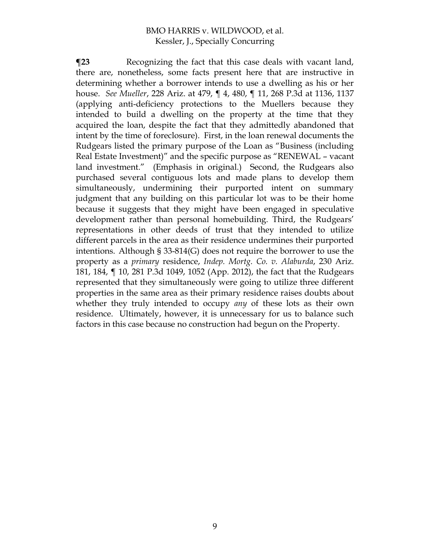**The Term** Recognizing the fact that this case deals with vacant land, there are, nonetheless, some facts present here that are instructive in determining whether a borrower intends to use a dwelling as his or her house. *See Mueller*, 228 Ariz. at 479, ¶ 4, 480, ¶ 11, 268 P.3d at 1136, 1137 (applying anti-deficiency protections to the Muellers because they intended to build a dwelling on the property at the time that they acquired the loan, despite the fact that they admittedly abandoned that intent by the time of foreclosure). First, in the loan renewal documents the Rudgears listed the primary purpose of the Loan as "Business (including Real Estate Investment)" and the specific purpose as "RENEWAL – vacant land investment." (Emphasis in original.) Second, the Rudgears also purchased several contiguous lots and made plans to develop them simultaneously, undermining their purported intent on summary judgment that any building on this particular lot was to be their home because it suggests that they might have been engaged in speculative development rather than personal homebuilding. Third, the Rudgears' representations in other deeds of trust that they intended to utilize different parcels in the area as their residence undermines their purported intentions. Although § 33-814(G) does not require the borrower to use the property as a *primary* residence, *Indep. Mortg. Co. v. Alaburda*, 230 Ariz. 181, 184, ¶ 10, 281 P.3d 1049, 1052 (App. 2012), the fact that the Rudgears represented that they simultaneously were going to utilize three different properties in the same area as their primary residence raises doubts about whether they truly intended to occupy *any* of these lots as their own residence. Ultimately, however, it is unnecessary for us to balance such factors in this case because no construction had begun on the Property*.*